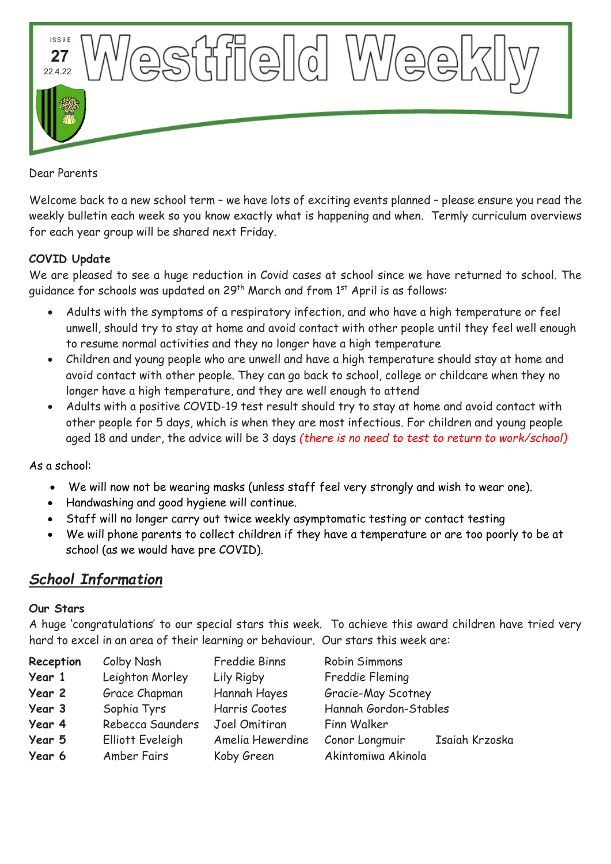

Dear Parents

Welcome back to a new school term – we have lots of exciting events planned – please ensure you read the weekly bulletin each week so you know exactly what is happening and when. Termly curriculum overviews for each year group will be shared next Friday.

## **COVID Update**

We are pleased to see a huge reduction in Covid cases at school since we have returned to school. The guidance for schools was updated on 29<sup>th</sup> March and from 1<sup>st</sup> April is as follows:

- Adults with the symptoms of a respiratory infection, and who have a high temperature or feel unwell, should try to stay at home and avoid contact with other people until they feel well enough to resume normal activities and they no longer have a high temperature
- Children and young people who are unwell and have a high temperature should stay at home and avoid contact with other people. They can go back to school, college or childcare when they no longer have a high temperature, and they are well enough to attend
- Adults with a positive COVID-19 test result should try to stay at home and avoid contact with other people for 5 days, which is when they are most infectious. For children and young people aged 18 and under, the advice will be 3 days *(there is no need to test to return to work/school)*

As a school:

- We will now not be wearing masks (unless staff feel very strongly and wish to wear one).
- Handwashing and good hygiene will continue.
- Staff will no longer carry out twice weekly asymptomatic testing or contact testing
- We will phone parents to collect children if they have a temperature or are too poorly to be at school (as we would have pre COVID).

# *School Information*

### **Our Stars**

A huge 'congratulations' to our special stars this week. To achieve this award children have tried very hard to excel in an area of their learning or behaviour. Our stars this week are:

| Reception | Colby Nash              | Freddie Binns    | Robin Simmons                    |
|-----------|-------------------------|------------------|----------------------------------|
| Year 1    | Leighton Morley         | Lily Rigby       | Freddie Fleming                  |
| Year 2    | Grace Chapman           | Hannah Hayes     | Gracie-May Scotney               |
| Year 3    | Sophia Tyrs             | Harris Cootes    | Hannah Gordon-Stables            |
| Year 4    | Rebecca Saunders        | Joel Omitiran    | Finn Walker                      |
| Year 5    | <b>Elliott Eveleigh</b> | Amelia Hewerdine | Isaiah Krzoska<br>Conor Longmuir |
| Year 6    | Amber Fairs             | Koby Green       | Akintomiwa Akinola               |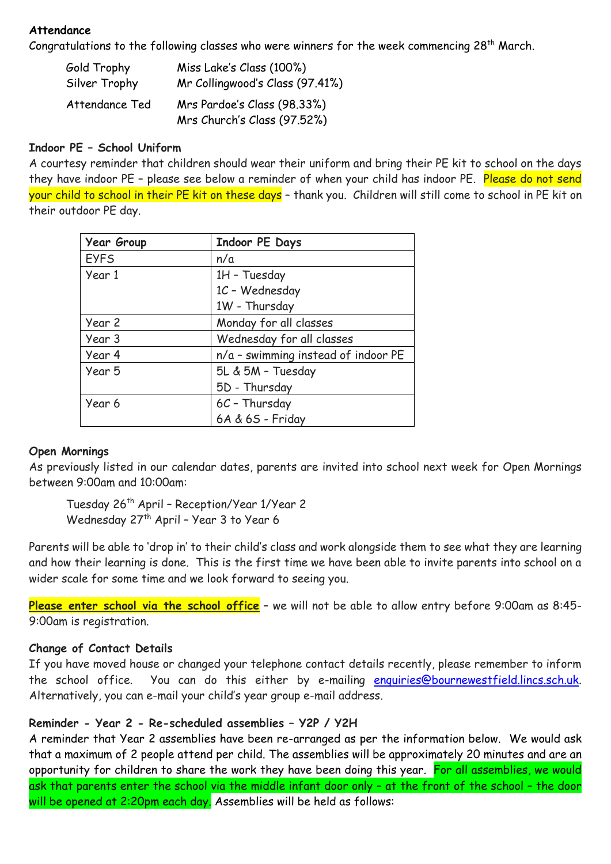### **Attendance**

Congratulations to the following classes who were winners for the week commencing 28<sup>th</sup> March.

| Gold Trophy    | Miss Lake's Class (100%)                                   |  |
|----------------|------------------------------------------------------------|--|
| Silver Trophy  | Mr Collingwood's Class (97.41%)                            |  |
| Attendance Ted | Mrs Pardoe's Class (98.33%)<br>Mrs Church's Class (97.52%) |  |

## **Indoor PE – School Uniform**

A courtesy reminder that children should wear their uniform and bring their PE kit to school on the days they have indoor PE - please see below a reminder of when your child has indoor PE. Please do not send your child to school in their PE kit on these days – thank you. Children will still come to school in PE kit on their outdoor PE day.

| <b>Year Group</b> | <b>Indoor PE Days</b>               |
|-------------------|-------------------------------------|
| <b>EYFS</b>       | n/a                                 |
| Year 1            | 1H - Tuesday                        |
|                   | 1C - Wednesday                      |
|                   | 1W - Thursday                       |
| Year 2            | Monday for all classes              |
| Year 3            | Wednesday for all classes           |
| Year 4            | n/a - swimming instead of indoor PE |
| Year 5            | 5L & 5M - Tuesday                   |
|                   | 5D - Thursday                       |
| Year 6            | $6C$ - Thursday                     |
|                   | 6A & 6S - Friday                    |

### **Open Mornings**

As previously listed in our calendar dates, parents are invited into school next week for Open Mornings between 9:00am and 10:00am:

Tuesday 26th April – Reception/Year 1/Year 2 Wednesday 27<sup>th</sup> April - Year 3 to Year 6

Parents will be able to 'drop in' to their child's class and work alongside them to see what they are learning and how their learning is done. This is the first time we have been able to invite parents into school on a wider scale for some time and we look forward to seeing you.

**Please enter school via the school office** – we will not be able to allow entry before 9:00am as 8:45- 9:00am is registration.

## **Change of Contact Details**

If you have moved house or changed your telephone contact details recently, please remember to inform the school office. You can do this either by e-mailing [enquiries@bournewestfield.lincs.sch.uk.](mailto:enquiries@bournewestfield.lincs.sch.uk) Alternatively, you can e-mail your child's year group e-mail address.

## **Reminder - Year 2 - Re-scheduled assemblies – Y2P / Y2H**

A reminder that Year 2 assemblies have been re-arranged as per the information below. We would ask that a maximum of 2 people attend per child. The assemblies will be approximately 20 minutes and are an opportunity for children to share the work they have been doing this year. For all assemblies, we would ask that parents enter the school via the middle infant door only - at the front of the school - the door will be opened at 2:20pm each day. Assemblies will be held as follows: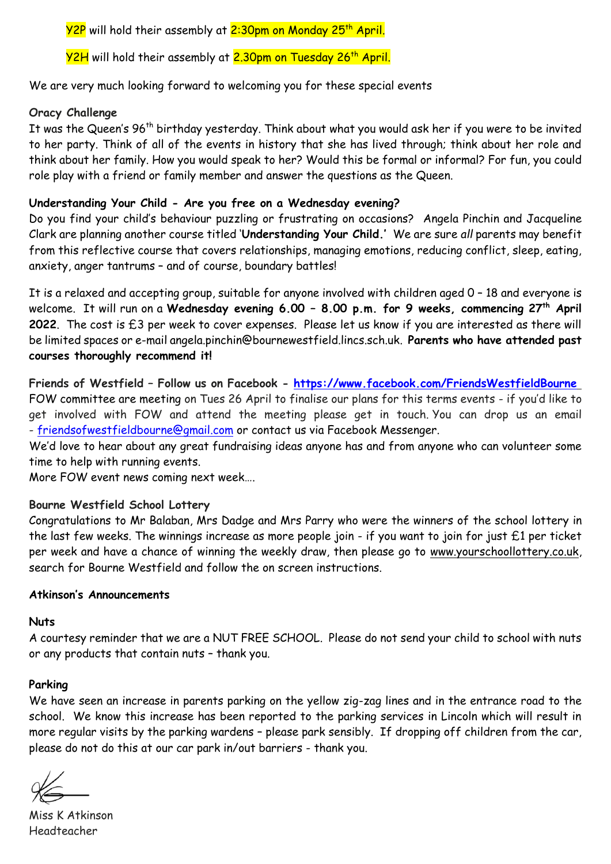<mark>Y2P</mark> will hold their assembly at <mark>2:30pm on Monday 25<sup>th</sup> April.</mark>

Y2H will hold their assembly at 2.30pm on Tuesday 26<sup>th</sup> April.

We are very much looking forward to welcoming you for these special events

## **Oracy Challenge**

It was the Queen's 96<sup>th</sup> birthday yesterday. Think about what you would ask her if you were to be invited to her party. Think of all of the events in history that she has lived through; think about her role and think about her family. How you would speak to her? Would this be formal or informal? For fun, you could role play with a friend or family member and answer the questions as the Queen.

## **Understanding Your Child - Are you free on a Wednesday evening?**

Do you find your child's behaviour puzzling or frustrating on occasions? Angela Pinchin and Jacqueline Clark are planning another course titled '**Understanding Your Child.'** We are sure *all* parents may benefit from this reflective course that covers relationships, managing emotions, reducing conflict, sleep, eating, anxiety, anger tantrums – and of course, boundary battles!

It is a relaxed and accepting group, suitable for anyone involved with children aged 0 – 18 and everyone is welcome. It will run on a **Wednesday evening 6.00 – 8.00 p.m. for 9 weeks, commencing 27th April 2022**. The cost is £3 per week to cover expenses. Please let us know if you are interested as there will be limited spaces or e-mail [angela.pinchin@bournewestfield.lincs.sch.uk.](mailto:angela.pinchin@bournewestfield.lincs.sch.uk) **Parents who have attended past courses thoroughly recommend it!**

**Friends of Westfield – Follow us on Facebook - <https://www.facebook.com/FriendsWestfieldBourne>** FOW committee are meeting on Tues 26 April to finalise our plans for this terms events - if you'd like to get involved with FOW and attend the meeting please get in touch. You can drop us an email - [friendsofwestfieldbourne@gmail.com](mailto:friendsofwestfieldbourne@gmail.com) or contact us via Facebook Messenger.

We'd love to hear about any great fundraising ideas anyone has and from anyone who can volunteer some time to help with running events.

More FOW event news coming next week….

### **Bourne Westfield School Lottery**

Congratulations to Mr Balaban, Mrs Dadge and Mrs Parry who were the winners of the school lottery in the last few weeks. The winnings increase as more people join - if you want to join for just £1 per ticket per week and have a chance of winning the weekly draw, then please go to [www.yourschoollottery.co.uk,](http://www.yourschoollottery.co.uk/) search for Bourne Westfield and follow the on screen instructions.

### **Atkinson's Announcements**

### **Nuts**

A courtesy reminder that we are a NUT FREE SCHOOL. Please do not send your child to school with nuts or any products that contain nuts – thank you.

### **Parking**

We have seen an increase in parents parking on the yellow zig-zag lines and in the entrance road to the school. We know this increase has been reported to the parking services in Lincoln which will result in more regular visits by the parking wardens – please park sensibly. If dropping off children from the car, please do not do this at our car park in/out barriers - thank you.

Miss K Atkinson Headteacher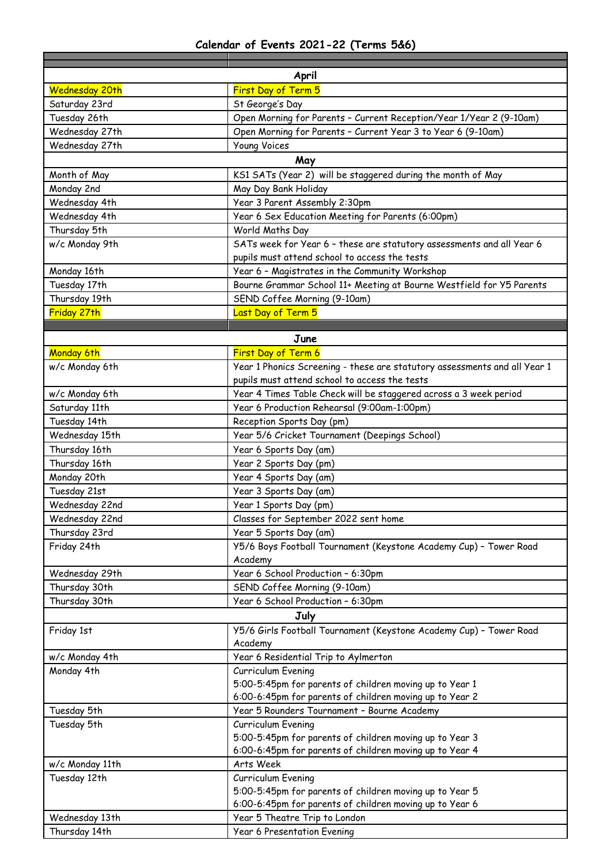## **Calendar of Events 2021-22 (Terms 5&6)**

| April                 |                                                                           |  |  |  |
|-----------------------|---------------------------------------------------------------------------|--|--|--|
| <b>Wednesday 20th</b> | First Day of Term 5                                                       |  |  |  |
| Saturday 23rd         | St George's Day                                                           |  |  |  |
| Tuesday 26th          | Open Morning for Parents - Current Reception/Year 1/Year 2 (9-10am)       |  |  |  |
| Wednesday 27th        | Open Morning for Parents - Current Year 3 to Year 6 (9-10am)              |  |  |  |
| Wednesday 27th        | <b>Young Voices</b>                                                       |  |  |  |
| May                   |                                                                           |  |  |  |
| Month of May          | KS1 SATs (Year 2) will be staggered during the month of May               |  |  |  |
| Monday 2nd            | May Day Bank Holiday                                                      |  |  |  |
| Wednesday 4th         | Year 3 Parent Assembly 2:30pm                                             |  |  |  |
| Wednesday 4th         | Year 6 Sex Education Meeting for Parents (6:00pm)                         |  |  |  |
| Thursday 5th          | World Maths Day                                                           |  |  |  |
| w/c Monday 9th        | SATs week for Year 6 - these are statutory assessments and all Year 6     |  |  |  |
|                       | pupils must attend school to access the tests                             |  |  |  |
| Monday 16th           | Year 6 - Magistrates in the Community Workshop                            |  |  |  |
| Tuesday 17th          | Bourne Grammar School 11+ Meeting at Bourne Westfield for Y5 Parents      |  |  |  |
| Thursday 19th         | SEND Coffee Morning (9-10am)                                              |  |  |  |
| Friday 27th           | Last Day of Term 5                                                        |  |  |  |
|                       |                                                                           |  |  |  |
|                       | June                                                                      |  |  |  |
| Monday 6th            | First Day of Term 6                                                       |  |  |  |
| w/c Monday 6th        | Year 1 Phonics Screening - these are statutory assessments and all Year 1 |  |  |  |
|                       | pupils must attend school to access the tests                             |  |  |  |
| w/c Monday 6th        | Year 4 Times Table Check will be staggered across a 3 week period         |  |  |  |
| Saturday 11th         | Year 6 Production Rehearsal (9:00am-1:00pm)                               |  |  |  |
| Tuesday 14th          | Reception Sports Day (pm)                                                 |  |  |  |
| Wednesday 15th        | Year 5/6 Cricket Tournament (Deepings School)                             |  |  |  |
| Thursday 16th         | Year 6 Sports Day (am)                                                    |  |  |  |
| Thursday 16th         | Year 2 Sports Day (pm)                                                    |  |  |  |
| Monday 20th           | Year 4 Sports Day (am)                                                    |  |  |  |
| Tuesday 21st          | Year 3 Sports Day (am)                                                    |  |  |  |
| Wednesday 22nd        | Year 1 Sports Day (pm)                                                    |  |  |  |
| Wednesday 22nd        | Classes for September 2022 sent home                                      |  |  |  |
| Thursday 23rd         | Year 5 Sports Day (am)                                                    |  |  |  |
| Friday 24th           | Y5/6 Boys Football Tournament (Keystone Academy Cup) - Tower Road         |  |  |  |
|                       | Academy                                                                   |  |  |  |
| Wednesday 29th        | Year 6 School Production - 6:30pm                                         |  |  |  |
| Thursday 30th         | SEND Coffee Morning (9-10am)                                              |  |  |  |
| Thursday 30th         | Year 6 School Production - 6:30pm                                         |  |  |  |
|                       | July                                                                      |  |  |  |
| Friday 1st            | Y5/6 Girls Football Tournament (Keystone Academy Cup) - Tower Road        |  |  |  |
|                       | Academy                                                                   |  |  |  |
| w/c Monday 4th        | Year 6 Residential Trip to Aylmerton                                      |  |  |  |
| Monday 4th            | Curriculum Evening                                                        |  |  |  |
|                       | 5:00-5:45pm for parents of children moving up to Year 1                   |  |  |  |
|                       | 6:00-6:45pm for parents of children moving up to Year 2                   |  |  |  |
| Tuesday 5th           | Year 5 Rounders Tournament - Bourne Academy                               |  |  |  |
| Tuesday 5th           | Curriculum Evening                                                        |  |  |  |
|                       | 5:00-5:45pm for parents of children moving up to Year 3                   |  |  |  |
|                       | 6:00-6:45pm for parents of children moving up to Year 4                   |  |  |  |
| w/c Monday 11th       | Arts Week                                                                 |  |  |  |
| Tuesday 12th          | Curriculum Evening                                                        |  |  |  |
|                       | 5:00-5:45pm for parents of children moving up to Year 5                   |  |  |  |
|                       | 6:00-6:45pm for parents of children moving up to Year 6                   |  |  |  |
| Wednesday 13th        | Year 5 Theatre Trip to London                                             |  |  |  |
| Thursday 14th         | <b>Year 6 Presentation Evening</b>                                        |  |  |  |